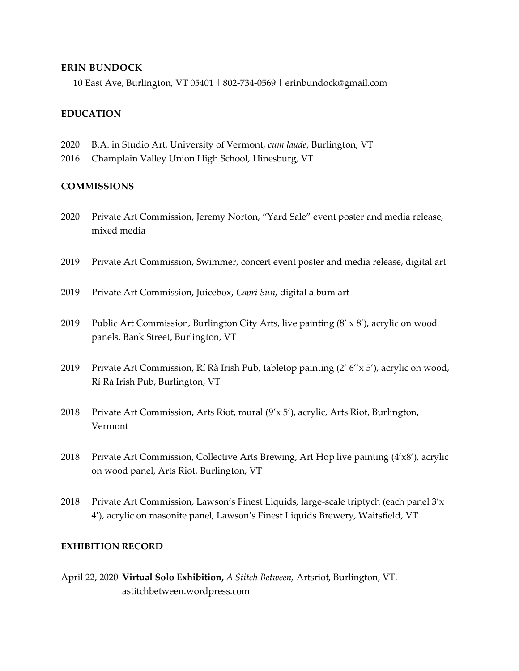### **ERIN BUNDOCK**

10 East Ave, Burlington, VT 05401 | 802-734-0569 | erinbundock@gmail.com

## **EDUCATION**

- 2020 B.A. in Studio Art, University of Vermont, *cum laude*, Burlington, VT
- 2016 Champlain Valley Union High School, Hinesburg, VT

## **COMMISSIONS**

- 2020 Private Art Commission, Jeremy Norton, "Yard Sale" event poster and media release, mixed media
- 2019 Private Art Commission, Swimmer, concert event poster and media release, digital art
- 2019 Private Art Commission, Juicebox, *Capri Sun*, digital album art
- 2019 Public Art Commission, Burlington City Arts, live painting (8' x 8'), acrylic on wood panels, Bank Street, Burlington, VT
- 2019 Private Art Commission, Rí Rà Irish Pub, tabletop painting (2' 6''x 5'), acrylic on wood, Rí Rà Irish Pub, Burlington, VT
- 2018 Private Art Commission, Arts Riot, mural (9'x 5'), acrylic, Arts Riot, Burlington, Vermont
- 2018 Private Art Commission, Collective Arts Brewing, Art Hop live painting (4'x8'), acrylic on wood panel, Arts Riot, Burlington, VT
- 2018 Private Art Commission, Lawson's Finest Liquids, large-scale triptych (each panel  $3'x$ 4'), acrylic on masonite panel, Lawson's Finest Liquids Brewery, Waitsfield, VT

### **EXHIBITION RECORD**

April 22, 2020 **Virtual Solo Exhibition,** *A Stitch Between,* Artsriot, Burlington, VT. astitchbetween.wordpress.com